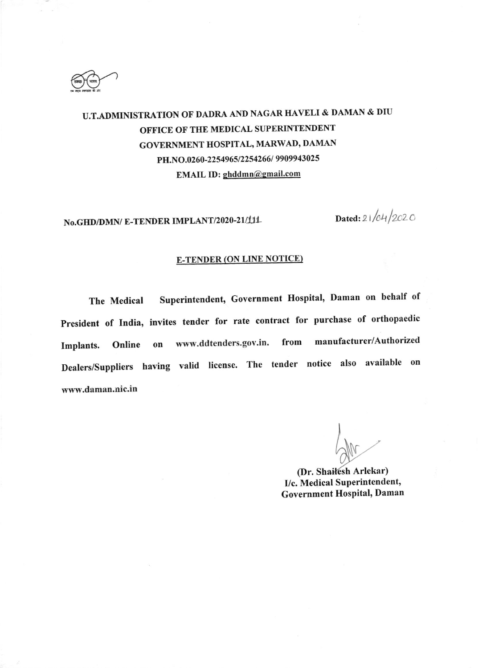

# U.T.ADMIMSTRATION OF DADRA AND NAGAR HAVELI & DAMAN & DIU OFFICE OF THE MEDICAL SUPERINTENDENT GOVERNMENT HOSPITAL, MARWAD, DAMAN PH.NO.0260-2254965/2254266/ 9909943025 EMAIL ID: ghddmn@gmail.com

No.GHD/DMN/ E-TENDER IMPLANT/2020-21/111 Dated:  $21/64/202$  O

#### **E-TENDER (ON LINE NOTICE)**

The Medical Superintendent, Government Hospital, Daman on behalf of President of India, invites tender for rate contract for purchase of orthopaedic Implants. Online on www.ddtenders.gov.in. from manufacturer/Authorized Dealers/Suppliers having valid license. The tender notice also available on www.daman.nic.in

(Dr. Shailesh Arlekar) I/c. Medical Superintendent, Government Hospital, Daman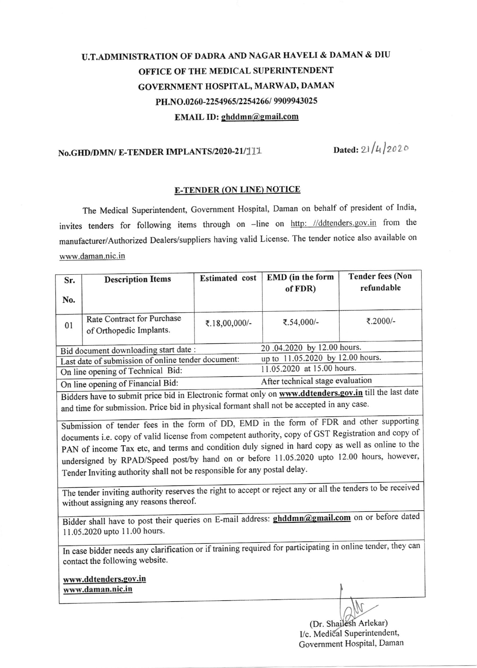### U.T.ADMINISTRATION OF DADRA AND NAGAR TIAVELI & DAMAN & DIU OFFICE OF THE MEDICAL SUPERINTENDENT GOVERNMENT HOSPITAL, MARWAD, DAMAN PH.NO.0260-2254965/2254266/ 9909943025 EMAIL ID: ghddmn@gmail.com

# No.GHD/DMN/ E-TENDER IMPLANTS/2020-21/111 Dated:  $21/4/2020$

#### E-TENDER (ON LINE) NOTICE

The Medical superintendent, Government Hospital, Daman on behalf of president of India, invites tenders for following items through on -line on http: //ddtenders.gov.in from the manufacturer/Authorized Dealers/suppliers having valid License. The tender notice also available on www.daman.nic.in

| Sr.                                                | <b>Description Items</b>                              | <b>Estimated</b> cost | EMD (in the form<br>of FDR)      | <b>Tender fees (Non</b><br>refundable |
|----------------------------------------------------|-------------------------------------------------------|-----------------------|----------------------------------|---------------------------------------|
| No.                                                |                                                       |                       |                                  |                                       |
| 01                                                 | Rate Contract for Purchase<br>of Orthopedic Implants. | ₹.18,00,000/-         | ₹.54,000/-                       | ₹.2000/-                              |
|                                                    | Bid document downloading start date:                  |                       | 20.04.2020 by 12.00 hours.       |                                       |
| Last date of submission of online tender document: |                                                       |                       | up to 11.05.2020 by 12.00 hours. |                                       |
| On line opening of Technical Bid:                  |                                                       |                       | 11.05.2020 at 15.00 hours.       |                                       |
|                                                    |                                                       |                       | After technical stage evaluation |                                       |
|                                                    | On line opening of Financial Bid:                     |                       |                                  |                                       |

and time for submission. Price bid in physical formant shall not be accepted in any case. Bidders have to submit price bid in Electronic format only on www.ddtenders.gov.in till the last date

undersigned by RPAD/Speed post/by hand on or before 11.05.2020 upto 12.00 hours, however, Tender Inviting authority shall not be responsible for any postal delay' Submission of tender fees in the form of *DD*, EMD in the form of 200 and copy of documents i.e. copy of valid license from competent authority, copy of GST Registration and copy of PAN of income Tax etc, and terms and condition duly signed in hard copy as well as online to the Submission of tender fees in the form of DD, EMD in the form of FDR and other supportin

The tender inviting authority reserves the right to accept or reject any or all the tenders to be received without assigning any reasons thereof.

11.05.2020 upto 11.00 hours. Bidder shall have to post their queries on E-mail address: **ghddmn@gmail.com** on or before dated

In case bidder needs any clarification or if training required for participating in online tender, they can contact the following website.

www.ddtenders.gov.in www.daman.nic.in

> (Dr. Shailesh Arlekar) I/c. Medical Superintendent, Government Hospital, Daman